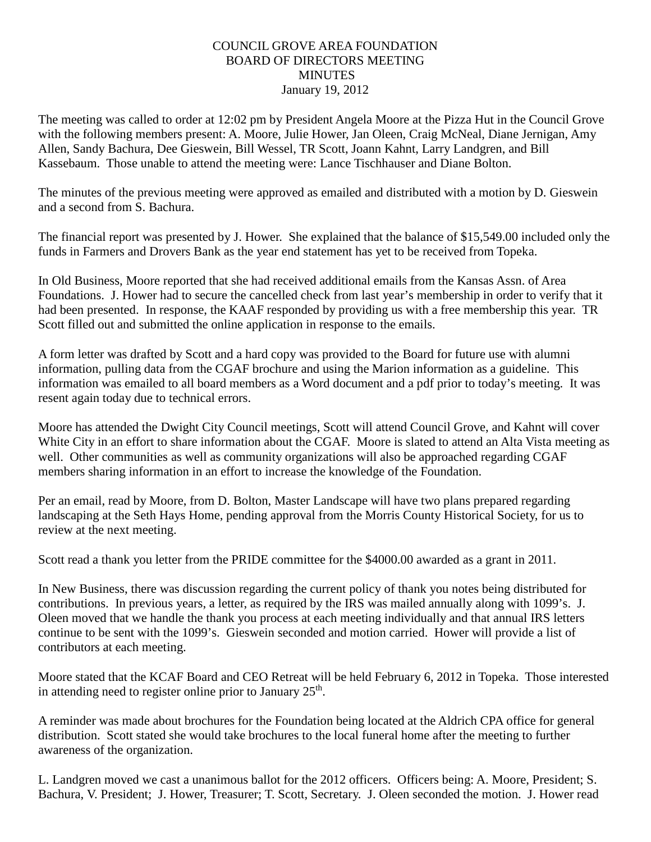## COUNCIL GROVE AREA FOUNDATION BOARD OF DIRECTORS MEETING **MINUTES** January 19, 2012

The meeting was called to order at 12:02 pm by President Angela Moore at the Pizza Hut in the Council Grove with the following members present: A. Moore, Julie Hower, Jan Oleen, Craig McNeal, Diane Jernigan, Amy Allen, Sandy Bachura, Dee Gieswein, Bill Wessel, TR Scott, Joann Kahnt, Larry Landgren, and Bill Kassebaum. Those unable to attend the meeting were: Lance Tischhauser and Diane Bolton.

The minutes of the previous meeting were approved as emailed and distributed with a motion by D. Gieswein and a second from S. Bachura.

The financial report was presented by J. Hower. She explained that the balance of \$15,549.00 included only the funds in Farmers and Drovers Bank as the year end statement has yet to be received from Topeka.

In Old Business, Moore reported that she had received additional emails from the Kansas Assn. of Area Foundations. J. Hower had to secure the cancelled check from last year's membership in order to verify that it had been presented. In response, the KAAF responded by providing us with a free membership this year. TR Scott filled out and submitted the online application in response to the emails.

A form letter was drafted by Scott and a hard copy was provided to the Board for future use with alumni information, pulling data from the CGAF brochure and using the Marion information as a guideline. This information was emailed to all board members as a Word document and a pdf prior to today's meeting. It was resent again today due to technical errors.

Moore has attended the Dwight City Council meetings, Scott will attend Council Grove, and Kahnt will cover White City in an effort to share information about the CGAF. Moore is slated to attend an Alta Vista meeting as well. Other communities as well as community organizations will also be approached regarding CGAF members sharing information in an effort to increase the knowledge of the Foundation.

Per an email, read by Moore, from D. Bolton, Master Landscape will have two plans prepared regarding landscaping at the Seth Hays Home, pending approval from the Morris County Historical Society, for us to review at the next meeting.

Scott read a thank you letter from the PRIDE committee for the \$4000.00 awarded as a grant in 2011.

In New Business, there was discussion regarding the current policy of thank you notes being distributed for contributions. In previous years, a letter, as required by the IRS was mailed annually along with 1099's. J. Oleen moved that we handle the thank you process at each meeting individually and that annual IRS letters continue to be sent with the 1099's. Gieswein seconded and motion carried. Hower will provide a list of contributors at each meeting.

Moore stated that the KCAF Board and CEO Retreat will be held February 6, 2012 in Topeka. Those interested in attending need to register online prior to January  $25<sup>th</sup>$ .

A reminder was made about brochures for the Foundation being located at the Aldrich CPA office for general distribution. Scott stated she would take brochures to the local funeral home after the meeting to further awareness of the organization.

L. Landgren moved we cast a unanimous ballot for the 2012 officers. Officers being: A. Moore, President; S. Bachura, V. President; J. Hower, Treasurer; T. Scott, Secretary. J. Oleen seconded the motion. J. Hower read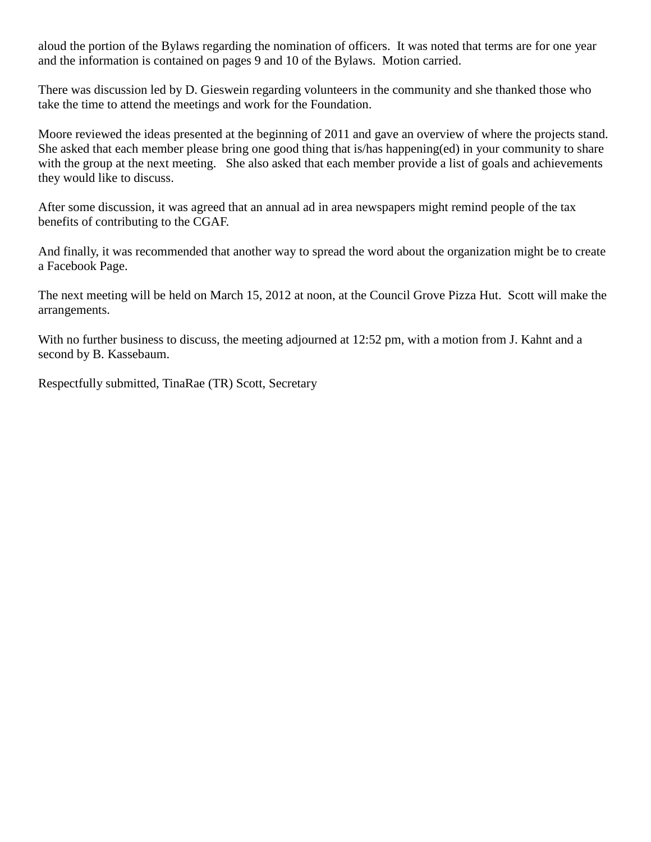aloud the portion of the Bylaws regarding the nomination of officers. It was noted that terms are for one year and the information is contained on pages 9 and 10 of the Bylaws. Motion carried.

There was discussion led by D. Gieswein regarding volunteers in the community and she thanked those who take the time to attend the meetings and work for the Foundation.

Moore reviewed the ideas presented at the beginning of 2011 and gave an overview of where the projects stand. She asked that each member please bring one good thing that is/has happening(ed) in your community to share with the group at the next meeting. She also asked that each member provide a list of goals and achievements they would like to discuss.

After some discussion, it was agreed that an annual ad in area newspapers might remind people of the tax benefits of contributing to the CGAF.

And finally, it was recommended that another way to spread the word about the organization might be to create a Facebook Page.

The next meeting will be held on March 15, 2012 at noon, at the Council Grove Pizza Hut. Scott will make the arrangements.

With no further business to discuss, the meeting adjourned at 12:52 pm, with a motion from J. Kahnt and a second by B. Kassebaum.

Respectfully submitted, TinaRae (TR) Scott, Secretary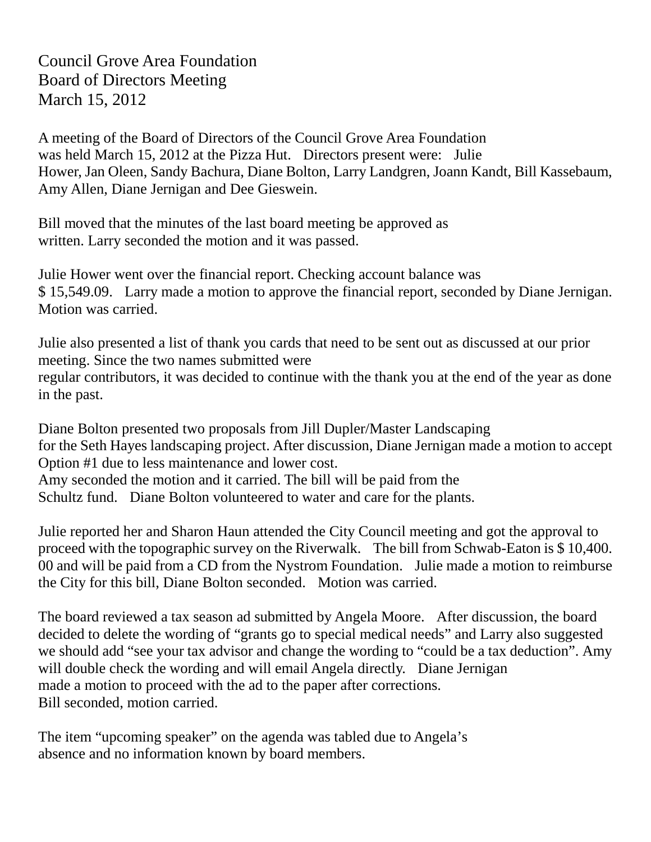Council Grove Area Foundation Board of Directors Meeting March 15, 2012

A meeting of the Board of Directors of the Council Grove Area Foundation was held March 15, 2012 at the Pizza Hut. Directors present were: Julie Hower, Jan Oleen, Sandy Bachura, Diane Bolton, Larry Landgren, Joann Kandt, Bill Kassebaum, Amy Allen, Diane Jernigan and Dee Gieswein.

Bill moved that the minutes of the last board meeting be approved as written. Larry seconded the motion and it was passed.

Julie Hower went over the financial report. Checking account balance was \$ 15,549.09. Larry made a motion to approve the financial report, seconded by Diane Jernigan. Motion was carried.

Julie also presented a list of thank you cards that need to be sent out as discussed at our prior meeting. Since the two names submitted were regular contributors, it was decided to continue with the thank you at the end of the year as done in the past.

Diane Bolton presented two proposals from Jill Dupler/Master Landscaping for the Seth Hayes landscaping project. After discussion, Diane Jernigan made a motion to accept Option #1 due to less maintenance and lower cost. Amy seconded the motion and it carried. The bill will be paid from the Schultz fund. Diane Bolton volunteered to water and care for the plants.

Julie reported her and Sharon Haun attended the City Council meeting and got the approval to proceed with the topographic survey on the Riverwalk. The bill from Schwab-Eaton is \$ 10,400. 00 and will be paid from a CD from the Nystrom Foundation. Julie made a motion to reimburse the City for this bill, Diane Bolton seconded. Motion was carried.

The board reviewed a tax season ad submitted by Angela Moore. After discussion, the board decided to delete the wording of "grants go to special medical needs" and Larry also suggested we should add "see your tax advisor and change the wording to "could be a tax deduction". Amy will double check the wording and will email Angela directly. Diane Jernigan made a motion to proceed with the ad to the paper after corrections. Bill seconded, motion carried.

The item "upcoming speaker" on the agenda was tabled due to Angela's absence and no information known by board members.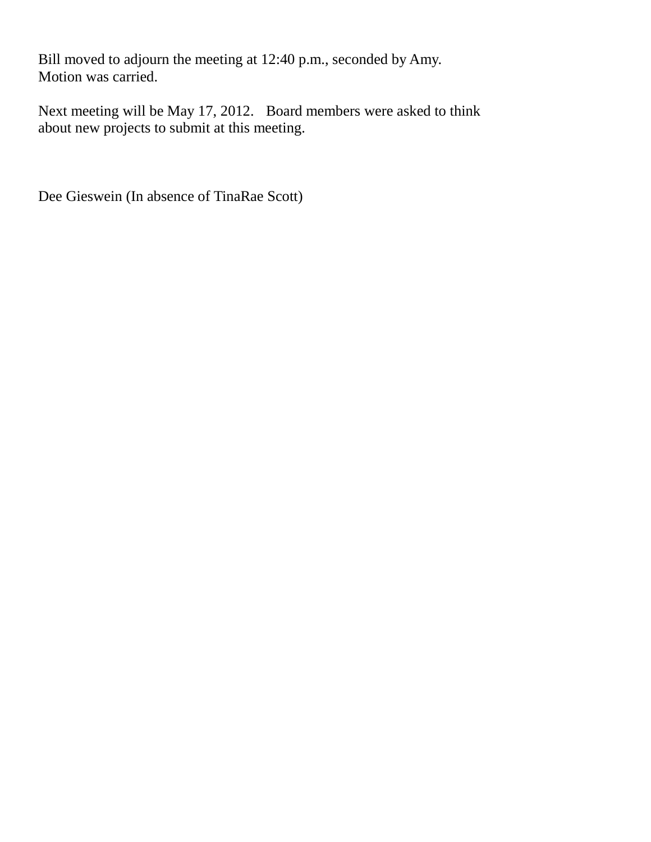Bill moved to adjourn the meeting at 12:40 p.m., seconded by Amy. Motion was carried.

Next meeting will be May 17, 2012. Board members were asked to think about new projects to submit at this meeting.

Dee Gieswein (In absence of TinaRae Scott)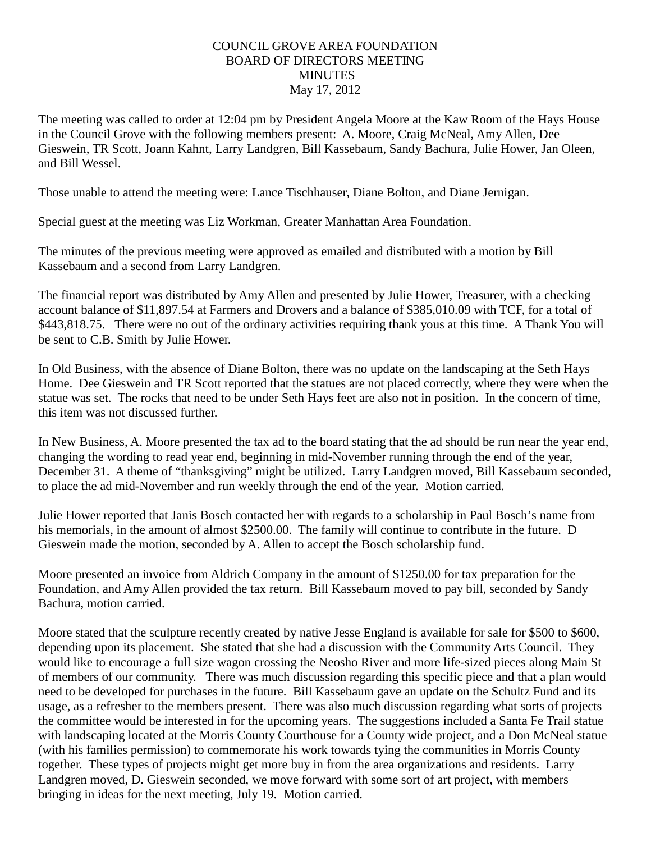## COUNCIL GROVE AREA FOUNDATION BOARD OF DIRECTORS MEETING **MINUTES** May 17, 2012

The meeting was called to order at 12:04 pm by President Angela Moore at the Kaw Room of the Hays House in the Council Grove with the following members present: A. Moore, Craig McNeal, Amy Allen, Dee Gieswein, TR Scott, Joann Kahnt, Larry Landgren, Bill Kassebaum, Sandy Bachura, Julie Hower, Jan Oleen, and Bill Wessel.

Those unable to attend the meeting were: Lance Tischhauser, Diane Bolton, and Diane Jernigan.

Special guest at the meeting was Liz Workman, Greater Manhattan Area Foundation.

The minutes of the previous meeting were approved as emailed and distributed with a motion by Bill Kassebaum and a second from Larry Landgren.

The financial report was distributed by Amy Allen and presented by Julie Hower, Treasurer, with a checking account balance of \$11,897.54 at Farmers and Drovers and a balance of \$385,010.09 with TCF, for a total of \$443,818.75. There were no out of the ordinary activities requiring thank yous at this time. A Thank You will be sent to C.B. Smith by Julie Hower.

In Old Business, with the absence of Diane Bolton, there was no update on the landscaping at the Seth Hays Home. Dee Gieswein and TR Scott reported that the statues are not placed correctly, where they were when the statue was set. The rocks that need to be under Seth Hays feet are also not in position. In the concern of time, this item was not discussed further.

In New Business, A. Moore presented the tax ad to the board stating that the ad should be run near the year end, changing the wording to read year end, beginning in mid-November running through the end of the year, December 31. A theme of "thanksgiving" might be utilized. Larry Landgren moved, Bill Kassebaum seconded, to place the ad mid-November and run weekly through the end of the year. Motion carried.

Julie Hower reported that Janis Bosch contacted her with regards to a scholarship in Paul Bosch's name from his memorials, in the amount of almost \$2500.00. The family will continue to contribute in the future. D Gieswein made the motion, seconded by A. Allen to accept the Bosch scholarship fund.

Moore presented an invoice from Aldrich Company in the amount of \$1250.00 for tax preparation for the Foundation, and Amy Allen provided the tax return. Bill Kassebaum moved to pay bill, seconded by Sandy Bachura, motion carried.

Moore stated that the sculpture recently created by native Jesse England is available for sale for \$500 to \$600, depending upon its placement. She stated that she had a discussion with the Community Arts Council. They would like to encourage a full size wagon crossing the Neosho River and more life-sized pieces along Main St of members of our community. There was much discussion regarding this specific piece and that a plan would need to be developed for purchases in the future. Bill Kassebaum gave an update on the Schultz Fund and its usage, as a refresher to the members present. There was also much discussion regarding what sorts of projects the committee would be interested in for the upcoming years. The suggestions included a Santa Fe Trail statue with landscaping located at the Morris County Courthouse for a County wide project, and a Don McNeal statue (with his families permission) to commemorate his work towards tying the communities in Morris County together. These types of projects might get more buy in from the area organizations and residents. Larry Landgren moved, D. Gieswein seconded, we move forward with some sort of art project, with members bringing in ideas for the next meeting, July 19. Motion carried.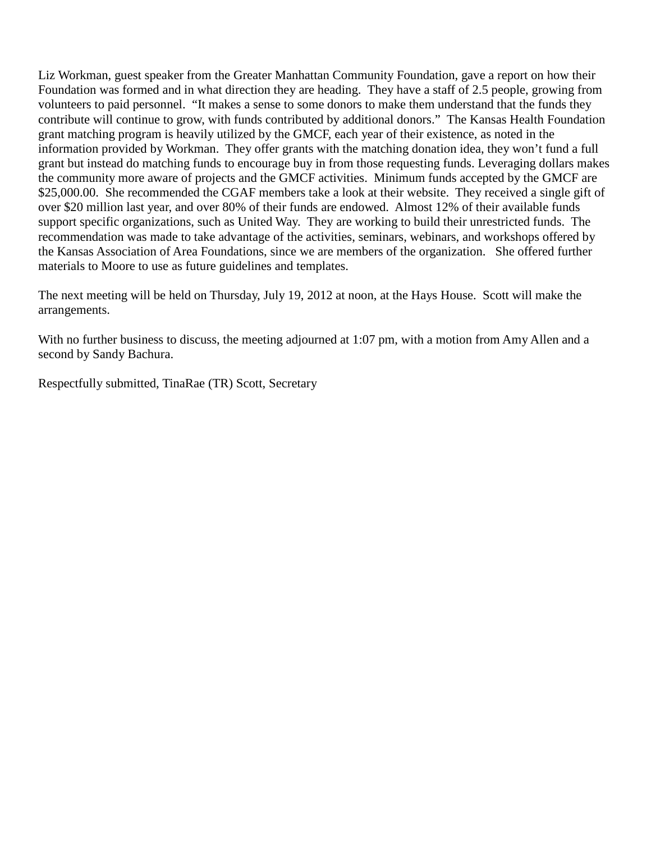Liz Workman, guest speaker from the Greater Manhattan Community Foundation, gave a report on how their Foundation was formed and in what direction they are heading. They have a staff of 2.5 people, growing from volunteers to paid personnel. "It makes a sense to some donors to make them understand that the funds they contribute will continue to grow, with funds contributed by additional donors." The Kansas Health Foundation grant matching program is heavily utilized by the GMCF, each year of their existence, as noted in the information provided by Workman. They offer grants with the matching donation idea, they won't fund a full grant but instead do matching funds to encourage buy in from those requesting funds. Leveraging dollars makes the community more aware of projects and the GMCF activities. Minimum funds accepted by the GMCF are \$25,000.00. She recommended the CGAF members take a look at their website. They received a single gift of over \$20 million last year, and over 80% of their funds are endowed. Almost 12% of their available funds support specific organizations, such as United Way. They are working to build their unrestricted funds. The recommendation was made to take advantage of the activities, seminars, webinars, and workshops offered by the Kansas Association of Area Foundations, since we are members of the organization. She offered further materials to Moore to use as future guidelines and templates.

The next meeting will be held on Thursday, July 19, 2012 at noon, at the Hays House. Scott will make the arrangements.

With no further business to discuss, the meeting adjourned at 1:07 pm, with a motion from Amy Allen and a second by Sandy Bachura.

Respectfully submitted, TinaRae (TR) Scott, Secretary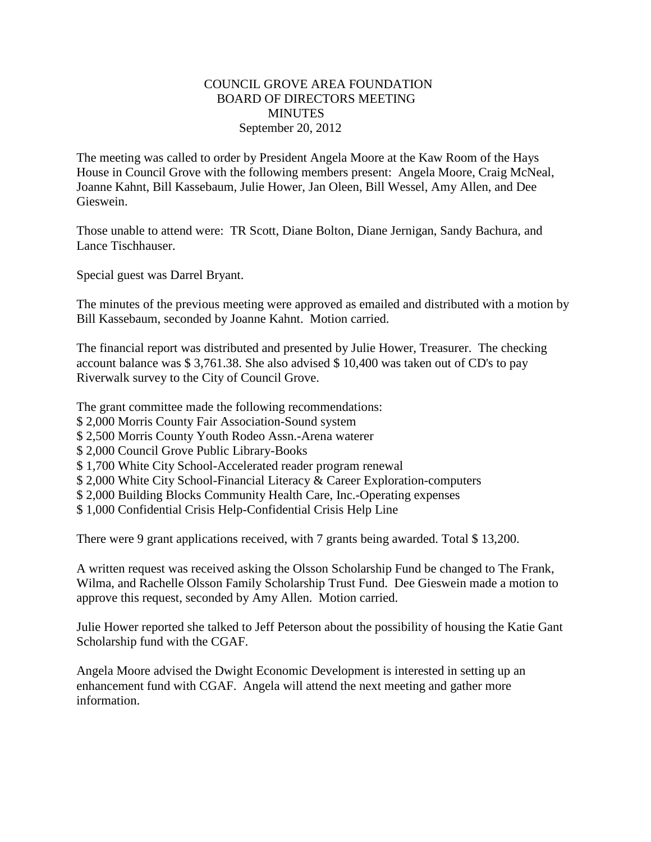#### COUNCIL GROVE AREA FOUNDATION BOARD OF DIRECTORS MEETING **MINUTES** September 20, 2012

The meeting was called to order by President Angela Moore at the Kaw Room of the Hays House in Council Grove with the following members present: Angela Moore, Craig McNeal, Joanne Kahnt, Bill Kassebaum, Julie Hower, Jan Oleen, Bill Wessel, Amy Allen, and Dee Gieswein.

Those unable to attend were: TR Scott, Diane Bolton, Diane Jernigan, Sandy Bachura, and Lance Tischhauser.

Special guest was Darrel Bryant.

The minutes of the previous meeting were approved as emailed and distributed with a motion by Bill Kassebaum, seconded by Joanne Kahnt. Motion carried.

The financial report was distributed and presented by Julie Hower, Treasurer. The checking account balance was \$ 3,761.38. She also advised \$ 10,400 was taken out of CD's to pay Riverwalk survey to the City of Council Grove.

The grant committee made the following recommendations:

- \$ 2,000 Morris County Fair Association-Sound system
- \$ 2,500 Morris County Youth Rodeo Assn.-Arena waterer
- \$ 2,000 Council Grove Public Library-Books
- \$ 1,700 White City School-Accelerated reader program renewal
- \$ 2,000 White City School-Financial Literacy & Career Exploration-computers
- \$ 2,000 Building Blocks Community Health Care, Inc.-Operating expenses
- \$ 1,000 Confidential Crisis Help-Confidential Crisis Help Line

There were 9 grant applications received, with 7 grants being awarded. Total \$ 13,200.

A written request was received asking the Olsson Scholarship Fund be changed to The Frank, Wilma, and Rachelle Olsson Family Scholarship Trust Fund. Dee Gieswein made a motion to approve this request, seconded by Amy Allen. Motion carried.

Julie Hower reported she talked to Jeff Peterson about the possibility of housing the Katie Gant Scholarship fund with the CGAF.

Angela Moore advised the Dwight Economic Development is interested in setting up an enhancement fund with CGAF. Angela will attend the next meeting and gather more information.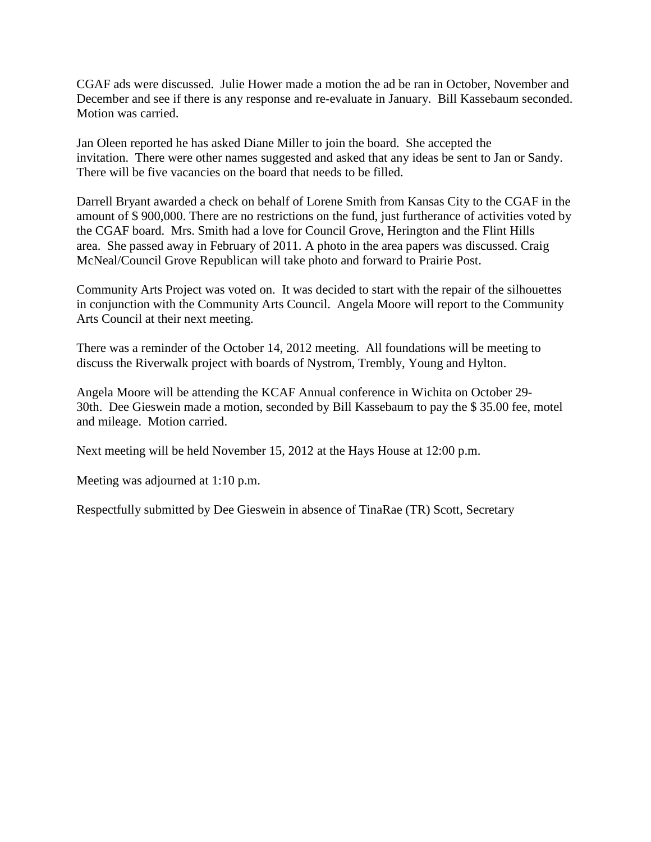CGAF ads were discussed. Julie Hower made a motion the ad be ran in October, November and December and see if there is any response and re-evaluate in January. Bill Kassebaum seconded. Motion was carried.

Jan Oleen reported he has asked Diane Miller to join the board. She accepted the invitation. There were other names suggested and asked that any ideas be sent to Jan or Sandy. There will be five vacancies on the board that needs to be filled.

Darrell Bryant awarded a check on behalf of Lorene Smith from Kansas City to the CGAF in the amount of \$ 900,000. There are no restrictions on the fund, just furtherance of activities voted by the CGAF board. Mrs. Smith had a love for Council Grove, Herington and the Flint Hills area. She passed away in February of 2011. A photo in the area papers was discussed. Craig McNeal/Council Grove Republican will take photo and forward to Prairie Post.

Community Arts Project was voted on. It was decided to start with the repair of the silhouettes in conjunction with the Community Arts Council. Angela Moore will report to the Community Arts Council at their next meeting.

There was a reminder of the October 14, 2012 meeting. All foundations will be meeting to discuss the Riverwalk project with boards of Nystrom, Trembly, Young and Hylton.

Angela Moore will be attending the KCAF Annual conference in Wichita on October 29- 30th. Dee Gieswein made a motion, seconded by Bill Kassebaum to pay the \$ 35.00 fee, motel and mileage. Motion carried.

Next meeting will be held November 15, 2012 at the Hays House at 12:00 p.m.

Meeting was adjourned at 1:10 p.m.

Respectfully submitted by Dee Gieswein in absence of TinaRae (TR) Scott, Secretary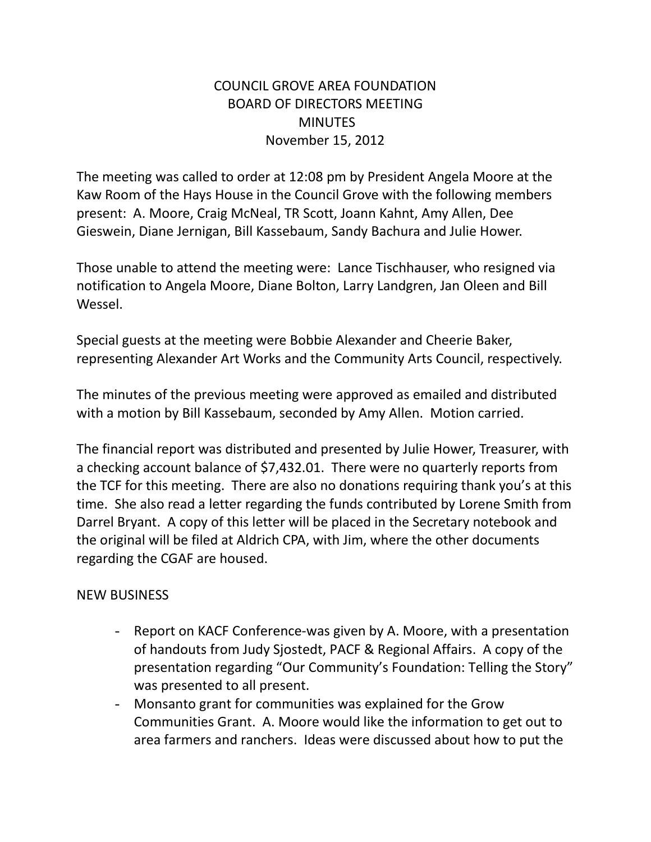# COUNCIL GROVE AREA FOUNDATION BOARD OF DIRECTORS MEETING **MINUTES** November 15, 2012

The meeting was called to order at 12:08 pm by President Angela Moore at the Kaw Room of the Hays House in the Council Grove with the following members present: A. Moore, Craig McNeal, TR Scott, Joann Kahnt, Amy Allen, Dee Gieswein, Diane Jernigan, Bill Kassebaum, Sandy Bachura and Julie Hower.

Those unable to attend the meeting were: Lance Tischhauser, who resigned via notification to Angela Moore, Diane Bolton, Larry Landgren, Jan Oleen and Bill Wessel.

Special guests at the meeting were Bobbie Alexander and Cheerie Baker, representing Alexander Art Works and the Community Arts Council, respectively.

The minutes of the previous meeting were approved as emailed and distributed with a motion by Bill Kassebaum, seconded by Amy Allen. Motion carried.

The financial report was distributed and presented by Julie Hower, Treasurer, with a checking account balance of \$7,432.01. There were no quarterly reports from the TCF for this meeting. There are also no donations requiring thank you's at this time. She also read a letter regarding the funds contributed by Lorene Smith from Darrel Bryant. A copy of this letter will be placed in the Secretary notebook and the original will be filed at Aldrich CPA, with Jim, where the other documents regarding the CGAF are housed.

# NEW BUSINESS

- Report on KACF Conference-was given by A. Moore, with a presentation of handouts from Judy Sjostedt, PACF & Regional Affairs. A copy of the presentation regarding "Our Community's Foundation: Telling the Story" was presented to all present.
- Monsanto grant for communities was explained for the Grow Communities Grant. A. Moore would like the information to get out to area farmers and ranchers. Ideas were discussed about how to put the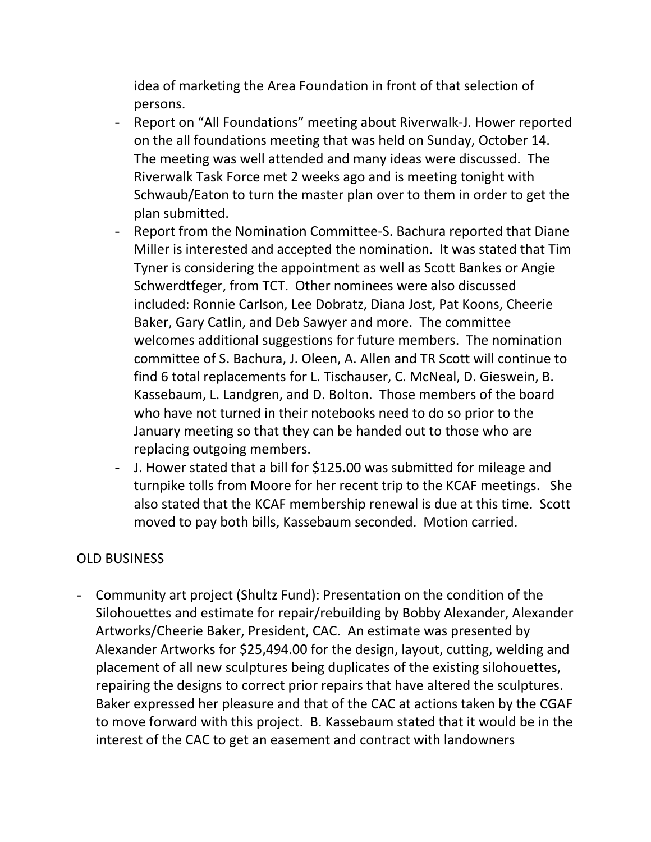idea of marketing the Area Foundation in front of that selection of persons.

- Report on "All Foundations" meeting about Riverwalk-J. Hower reported on the all foundations meeting that was held on Sunday, October 14. The meeting was well attended and many ideas were discussed. The Riverwalk Task Force met 2 weeks ago and is meeting tonight with Schwaub/Eaton to turn the master plan over to them in order to get the plan submitted.
- Report from the Nomination Committee-S. Bachura reported that Diane Miller is interested and accepted the nomination. It was stated that Tim Tyner is considering the appointment as well as Scott Bankes or Angie Schwerdtfeger, from TCT. Other nominees were also discussed included: Ronnie Carlson, Lee Dobratz, Diana Jost, Pat Koons, Cheerie Baker, Gary Catlin, and Deb Sawyer and more. The committee welcomes additional suggestions for future members. The nomination committee of S. Bachura, J. Oleen, A. Allen and TR Scott will continue to find 6 total replacements for L. Tischauser, C. McNeal, D. Gieswein, B. Kassebaum, L. Landgren, and D. Bolton. Those members of the board who have not turned in their notebooks need to do so prior to the January meeting so that they can be handed out to those who are replacing outgoing members.
- J. Hower stated that a bill for \$125.00 was submitted for mileage and turnpike tolls from Moore for her recent trip to the KCAF meetings. She also stated that the KCAF membership renewal is due at this time. Scott moved to pay both bills, Kassebaum seconded. Motion carried.

# OLD BUSINESS

- Community art project (Shultz Fund): Presentation on the condition of the Silohouettes and estimate for repair/rebuilding by Bobby Alexander, Alexander Artworks/Cheerie Baker, President, CAC. An estimate was presented by Alexander Artworks for \$25,494.00 for the design, layout, cutting, welding and placement of all new sculptures being duplicates of the existing silohouettes, repairing the designs to correct prior repairs that have altered the sculptures. Baker expressed her pleasure and that of the CAC at actions taken by the CGAF to move forward with this project. B. Kassebaum stated that it would be in the interest of the CAC to get an easement and contract with landowners